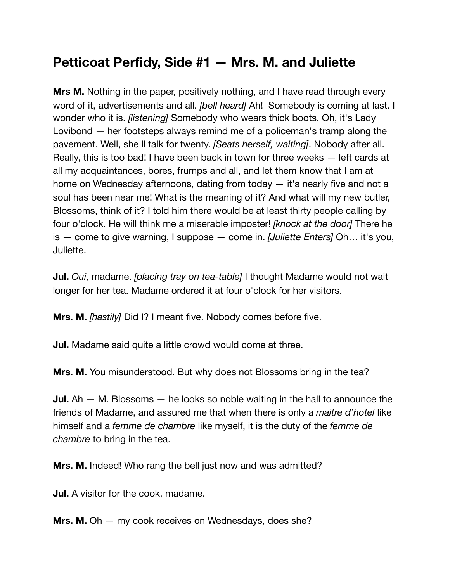## **Petticoat Perfidy, Side #1 — Mrs. M. and Juliette**

**Mrs M.** Nothing in the paper, positively nothing, and I have read through every word of it, advertisements and all. *[bell heard]* Ah! Somebody is coming at last. I wonder who it is. *[listening]* Somebody who wears thick boots. Oh, it's Lady Lovibond — her footsteps always remind me of a policeman's tramp along the pavement. Well, she'll talk for twenty. *[Seats herself, waiting]*. Nobody after all. Really, this is too bad! I have been back in town for three weeks — left cards at all my acquaintances, bores, frumps and all, and let them know that I am at home on Wednesday afternoons, dating from today – it's nearly five and not a soul has been near me! What is the meaning of it? And what will my new butler, Blossoms, think of it? I told him there would be at least thirty people calling by four o'clock. He will think me a miserable imposter! *[knock at the door]* There he is — come to give warning, I suppose — come in. *[Juliette Enters]* Oh… it's you, Juliette.

**Jul.** *Oui*, madame. *[placing tray on tea-table]* I thought Madame would not wait longer for her tea. Madame ordered it at four o'clock for her visitors.

**Mrs. M.** *[hastily]* Did I? I meant five. Nobody comes before five.

**Jul.** Madame said quite a little crowd would come at three.

**Mrs. M.** You misunderstood. But why does not Blossoms bring in the tea?

**Jul.** Ah — M. Blossoms — he looks so noble waiting in the hall to announce the friends of Madame, and assured me that when there is only a *maitre d'hotel* like himself and a *femme de chambre* like myself, it is the duty of the *femme de chambre* to bring in the tea.

**Mrs. M.** Indeed! Who rang the bell just now and was admitted?

**Jul.** A visitor for the cook, madame.

**Mrs. M.** Oh — my cook receives on Wednesdays, does she?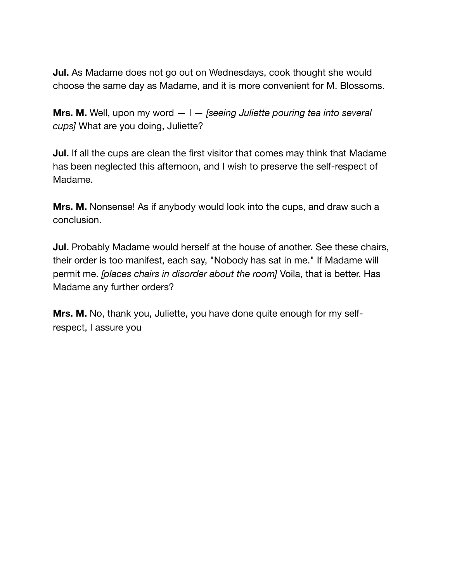**Jul.** As Madame does not go out on Wednesdays, cook thought she would choose the same day as Madame, and it is more convenient for M. Blossoms.

**Mrs. M.** Well, upon my word — I — *[seeing Juliette pouring tea into several cups]* What are you doing, Juliette?

**Jul.** If all the cups are clean the first visitor that comes may think that Madame has been neglected this afternoon, and I wish to preserve the self-respect of Madame.

**Mrs. M.** Nonsense! As if anybody would look into the cups, and draw such a conclusion.

**Jul.** Probably Madame would herself at the house of another. See these chairs, their order is too manifest, each say, "Nobody has sat in me." If Madame will permit me. *[places chairs in disorder about the room]* Voila, that is better. Has Madame any further orders?

**Mrs. M.** No, thank you, Juliette, you have done quite enough for my selfrespect, I assure you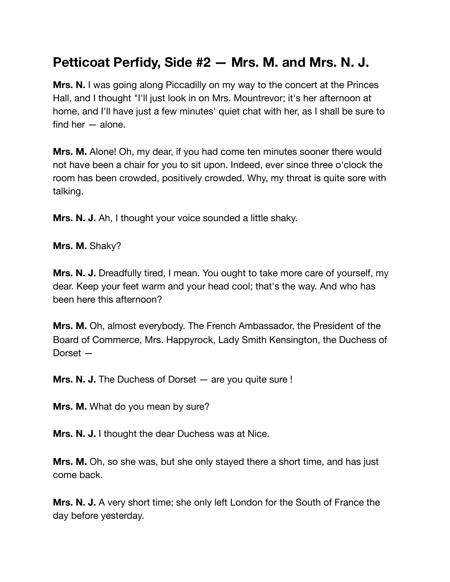## **Petticoat Perfidy, Side #2 — Mrs. M. and Mrs. N. J.**

**Mrs. N.** I was going along Piccadilly on my way to the concert at the Princes Hall, and I thought "I'll just look in on Mrs. Mountrevor; it's her afternoon at home, and I'll have just a few minutes' quiet chat with her, as I shall be sure to find her  $-$  alone.

**Mrs. M.** Alone! Oh, my dear, if you had come ten minutes sooner there would not have been a chair for you to sit upon. Indeed, ever since three o'clock the room has been crowded, positively crowded. Why, my throat is quite sore with talking.

**Mrs. N. J.** Ah, I thought your voice sounded a little shaky.

**Mrs. M.** Shaky?

**Mrs. N. J.** Dreadfully tired, I mean. You ought to take more care of yourself, my dear. Keep your feet warm and your head cool; that's the way. And who has been here this afternoon?

**Mrs. M.** Oh, almost everybody. The French Ambassador, the President of the Board of Commerce, Mrs. Happyrock, Lady Smith Kensington, the Duchess of Dorset —

**Mrs. N. J.** The Duchess of Dorset — are you quite sure !

**Mrs. M.** What do you mean by sure?

**Mrs. N. J.** I thought the dear Duchess was at Nice.

**Mrs. M.** Oh, so she was, but she only stayed there a short time, and has just come back.

**Mrs. N. J.** A very short time; she only left London for the South of France the day before yesterday.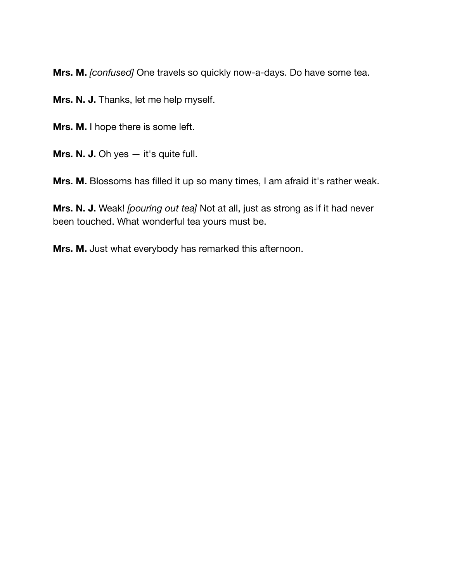**Mrs. M.** *[confused]* One travels so quickly now-a-days. Do have some tea.

**Mrs. N. J.** Thanks, let me help myself.

**Mrs. M.** I hope there is some left.

**Mrs. N. J.** Oh yes  $-$  it's quite full.

**Mrs. M.** Blossoms has filled it up so many times, I am afraid it's rather weak.

**Mrs. N. J.** Weak! *[pouring out tea]* Not at all, just as strong as if it had never been touched. What wonderful tea yours must be.

**Mrs. M.** Just what everybody has remarked this afternoon.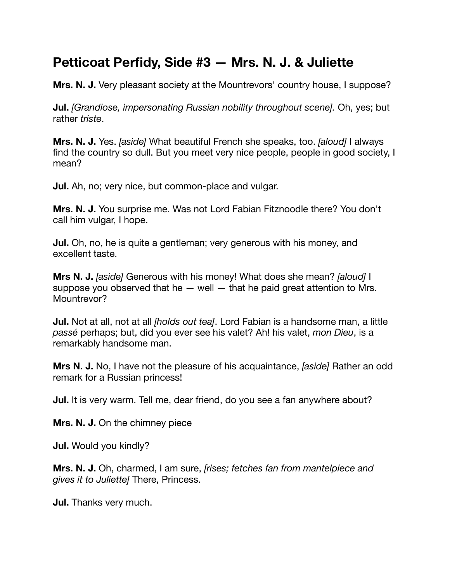### **Petticoat Perfidy, Side #3 — Mrs. N. J. & Juliette**

**Mrs. N. J.** Very pleasant society at the Mountrevors' country house, I suppose?

**Jul.** *[Grandiose, impersonating Russian nobility throughout scene].* Oh, yes; but rather *triste*.

**Mrs. N. J.** Yes. *[aside]* What beautiful French she speaks, too. *[aloud]* I always find the country so dull. But you meet very nice people, people in good society, I mean?

**Jul.** Ah, no; very nice, but common-place and vulgar.

**Mrs. N. J.** You surprise me. Was not Lord Fabian Fitznoodle there? You don't call him vulgar, I hope.

**Jul.** Oh, no, he is quite a gentleman; very generous with his money, and excellent taste.

**Mrs N. J.** *[aside]* Generous with his money! What does she mean? *[aloud]* I suppose you observed that he  $-$  well  $-$  that he paid great attention to Mrs. Mountrevor?

**Jul.** Not at all, not at all *[holds out tea]*. Lord Fabian is a handsome man, a little *passé* perhaps; but, did you ever see his valet? Ah! his valet, *mon Dieu*, is a remarkably handsome man.

**Mrs N. J.** No, I have not the pleasure of his acquaintance, *[aside]* Rather an odd remark for a Russian princess!

**Jul.** It is very warm. Tell me, dear friend, do you see a fan anywhere about?

**Mrs. N. J.** On the chimney piece

**Jul.** Would you kindly?

**Mrs. N. J.** Oh, charmed, I am sure, *[rises; fetches fan from mantelpiece and gives it to Juliette]* There, Princess.

**Jul.** Thanks very much.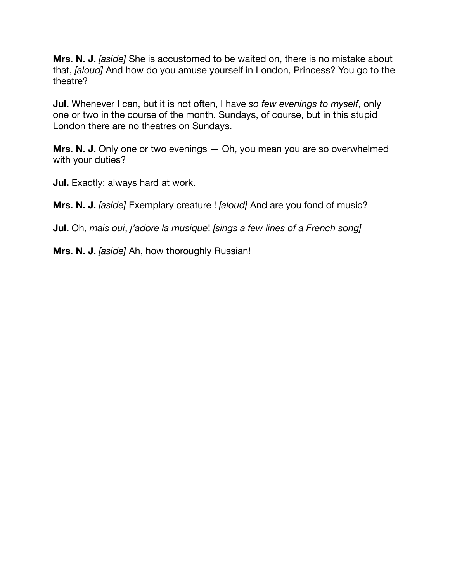**Mrs. N. J.** *[aside]* She is accustomed to be waited on, there is no mistake about that, *[aloud]* And how do you amuse yourself in London, Princess? You go to the theatre?

**Jul.** Whenever I can, but it is not often, I have *so few evenings to myself*, only one or two in the course of the month. Sundays, of course, but in this stupid London there are no theatres on Sundays.

**Mrs. N. J.** Only one or two evenings — Oh, you mean you are so overwhelmed with your duties?

**Jul.** Exactly; always hard at work.

**Mrs. N. J.** *[aside]* Exemplary creature ! *[aloud]* And are you fond of music?

**Jul.** Oh, *mais oui*, *j'adore la musique*! *[sings a few lines of a French song]* 

**Mrs. N. J.** *[aside]* Ah, how thoroughly Russian!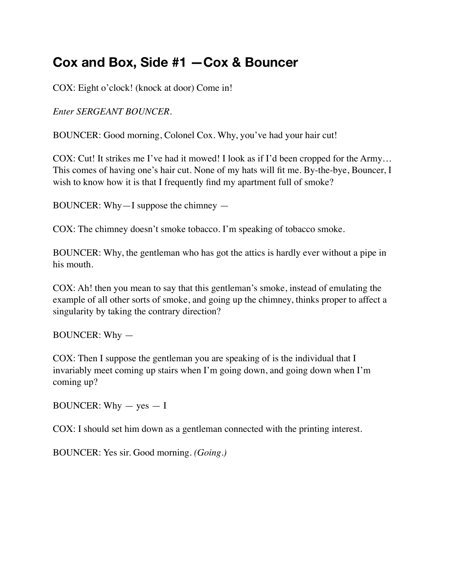### **Cox and Box, Side #1 —Cox & Bouncer**

COX: Eight o'clock! (knock at door) Come in!

*Enter SERGEANT BOUNCER.* 

BOUNCER: Good morning, Colonel Cox. Why, you've had your hair cut!

COX: Cut! It strikes me I've had it mowed! I look as if I'd been cropped for the Army… This comes of having one's hair cut. None of my hats will fit me. By-the-bye, Bouncer, I wish to know how it is that I frequently find my apartment full of smoke?

BOUNCER: Why—I suppose the chimney —

COX: The chimney doesn't smoke tobacco. I'm speaking of tobacco smoke.

BOUNCER: Why, the gentleman who has got the attics is hardly ever without a pipe in his mouth.

COX: Ah! then you mean to say that this gentleman's smoke, instead of emulating the example of all other sorts of smoke, and going up the chimney, thinks proper to affect a singularity by taking the contrary direction?

BOUNCER: Why —

COX: Then I suppose the gentleman you are speaking of is the individual that I invariably meet coming up stairs when I'm going down, and going down when I'm coming up?

BOUNCER: Why  $-$  yes  $-1$ 

COX: I should set him down as a gentleman connected with the printing interest.

BOUNCER: Yes sir. Good morning. *(Going.)*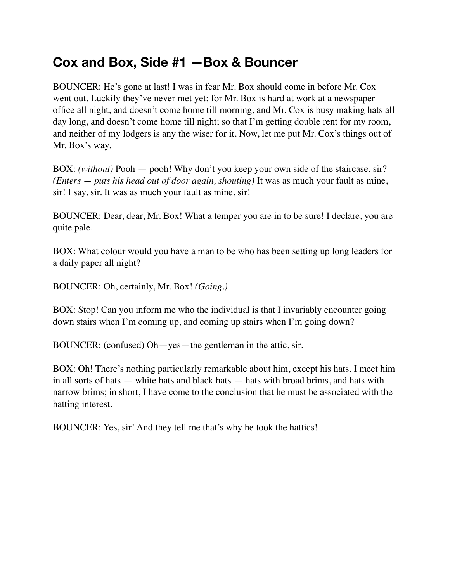### **Cox and Box, Side #1 —Box & Bouncer**

BOUNCER: He's gone at last! I was in fear Mr. Box should come in before Mr. Cox went out. Luckily they've never met yet; for Mr. Box is hard at work at a newspaper office all night, and doesn't come home till morning, and Mr. Cox is busy making hats all day long, and doesn't come home till night; so that I'm getting double rent for my room, and neither of my lodgers is any the wiser for it. Now, let me put Mr. Cox's things out of Mr. Box's way.

BOX: *(without)* Pooh — pooh! Why don't you keep your own side of the staircase, sir? *(Enters — puts his head out of door again, shouting)* It was as much your fault as mine, sir! I say, sir. It was as much your fault as mine, sir!

BOUNCER: Dear, dear, Mr. Box! What a temper you are in to be sure! I declare, you are quite pale.

BOX: What colour would you have a man to be who has been setting up long leaders for a daily paper all night?

BOUNCER: Oh, certainly, Mr. Box! *(Going.)*

BOX: Stop! Can you inform me who the individual is that I invariably encounter going down stairs when I'm coming up, and coming up stairs when I'm going down?

BOUNCER: (confused) Oh—yes—the gentleman in the attic, sir.

BOX: Oh! There's nothing particularly remarkable about him, except his hats. I meet him in all sorts of hats — white hats and black hats — hats with broad brims, and hats with narrow brims; in short, I have come to the conclusion that he must be associated with the hatting interest.

BOUNCER: Yes, sir! And they tell me that's why he took the hattics!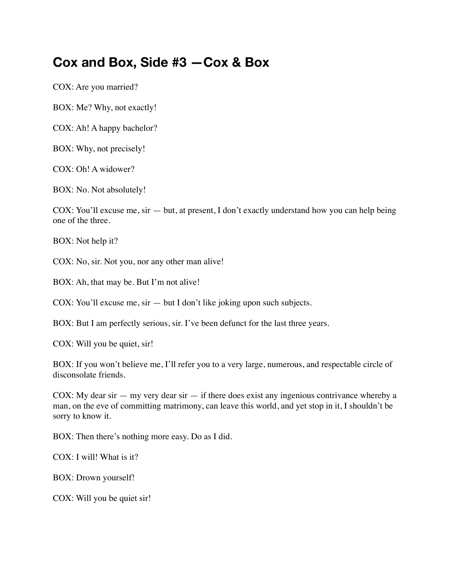#### **Cox and Box, Side #3 —Cox & Box**

COX: Are you married?

BOX: Me? Why, not exactly!

COX: Ah! A happy bachelor?

BOX: Why, not precisely!

COX: Oh! A widower?

BOX: No. Not absolutely!

COX: You'll excuse me, sir — but, at present, I don't exactly understand how you can help being one of the three.

BOX: Not help it?

COX: No, sir. Not you, nor any other man alive!

BOX: Ah, that may be. But I'm not alive!

COX: You'll excuse me, sir — but I don't like joking upon such subjects.

BOX: But I am perfectly serious, sir. I've been defunct for the last three years.

COX: Will you be quiet, sir!

BOX: If you won't believe me, I'll refer you to a very large, numerous, and respectable circle of disconsolate friends.

COX: My dear sir  $-$  my very dear sir  $-$  if there does exist any ingenious contrivance whereby a man, on the eve of committing matrimony, can leave this world, and yet stop in it, I shouldn't be sorry to know it.

BOX: Then there's nothing more easy. Do as I did.

COX: I will! What is it?

BOX: Drown yourself!

COX: Will you be quiet sir!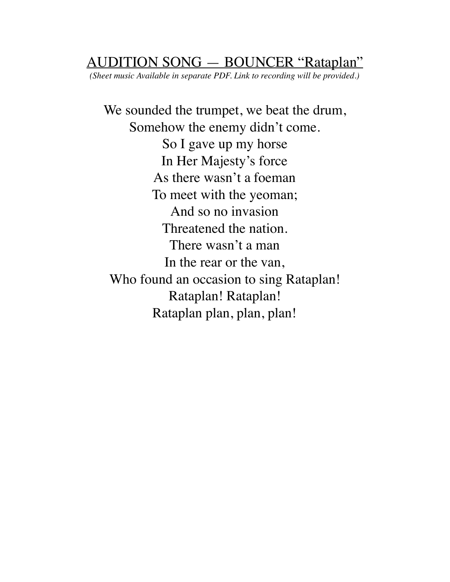#### AUDITION SONG — BOUNCER "Rataplan"

*(Sheet music Available in separate PDF. Link to recording will be provided.)*

We sounded the trumpet, we beat the drum, Somehow the enemy didn't come. So I gave up my horse In Her Majesty's force As there wasn't a foeman To meet with the yeoman; And so no invasion Threatened the nation. There wasn't a man In the rear or the van, Who found an occasion to sing Rataplan! Rataplan! Rataplan! Rataplan plan, plan, plan!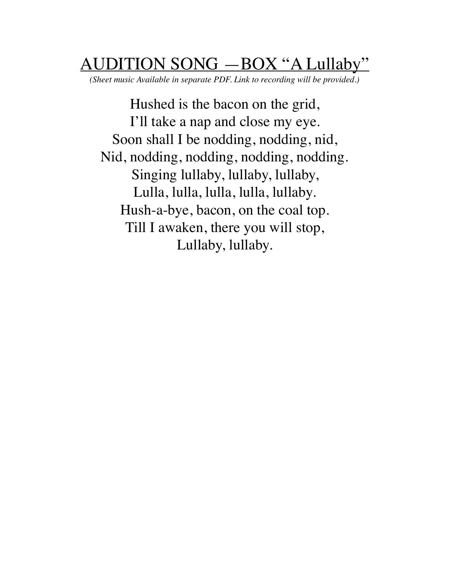# $TION SONG - BOX "A Lullabv"$

*(Sheet music Available in separate PDF. Link to recording will be provided.)*

Hushed is the bacon on the grid, I'll take a nap and close my eye. Soon shall I be nodding, nodding, nid, Nid, nodding, nodding, nodding, nodding. Singing lullaby, lullaby, lullaby, Lulla, lulla, lulla, lulla, lullaby. Hush-a-bye, bacon, on the coal top. Till I awaken, there you will stop, Lullaby, lullaby.